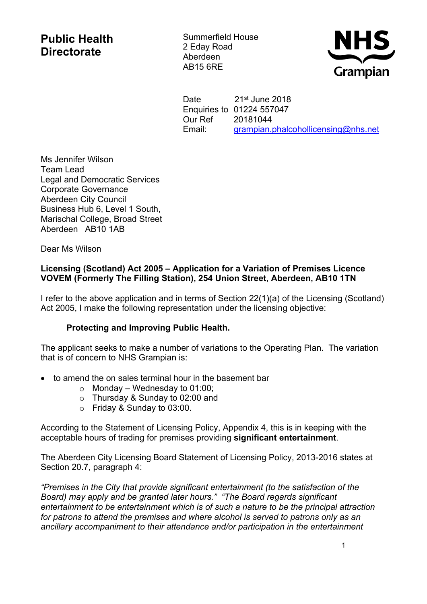## **Public Health Directorate**

Summerfield House 2 Eday Road Aberdeen AB15 6RE



Date 21st June 2018 Enquiries to 01224 557047 Our Ref 20181044 Email: [grampian.phalcohollicensing@nhs.net](https://nhsmail1.nhs.net/owa/redir.aspx?SURL=F0-9RO9LBMG1xHU0THPwUNA1L0mS_lqkvh_TZiLIxOsEbXaT8I7TCG0AYQBpAGwAdABvADoAZwByAGEAbQBwAGkAYQBuAC4AcABoAGEAbABjAG8AaABvAGwAbABpAGMAZQBuAHMAaQBuAGcAQABuAGgAcwAuAG4AZQB0AA..&URL=mailto%3agrampian.phalcohollicensing%40nhs.net)

Ms Jennifer Wilson Team Lead Legal and Democratic Services Corporate Governance Aberdeen City Council Business Hub 6, Level 1 South, Marischal College, Broad Street Aberdeen AB10 1AB

Dear Ms Wilson

## **Licensing (Scotland) Act 2005 – Application for a Variation of Premises Licence VOVEM (Formerly The Filling Station), 254 Union Street, Aberdeen, AB10 1TN**

I refer to the above application and in terms of Section 22(1)(a) of the Licensing (Scotland) Act 2005, I make the following representation under the licensing objective:

## **Protecting and Improving Public Health.**

The applicant seeks to make a number of variations to the Operating Plan. The variation that is of concern to NHS Grampian is:

- to amend the on sales terminal hour in the basement bar
	- $\circ$  Monday Wednesday to 01:00;
	- o Thursday & Sunday to 02:00 and
	- o Friday & Sunday to 03:00.

According to the Statement of Licensing Policy, Appendix 4, this is in keeping with the acceptable hours of trading for premises providing **significant entertainment**.

The Aberdeen City Licensing Board Statement of Licensing Policy, 2013-2016 states at Section 20.7, paragraph 4:

*"Premises in the City that provide significant entertainment (to the satisfaction of the Board) may apply and be granted later hours." "The Board regards significant entertainment to be entertainment which is of such a nature to be the principal attraction for patrons to attend the premises and where alcohol is served to patrons only as an ancillary accompaniment to their attendance and/or participation in the entertainment*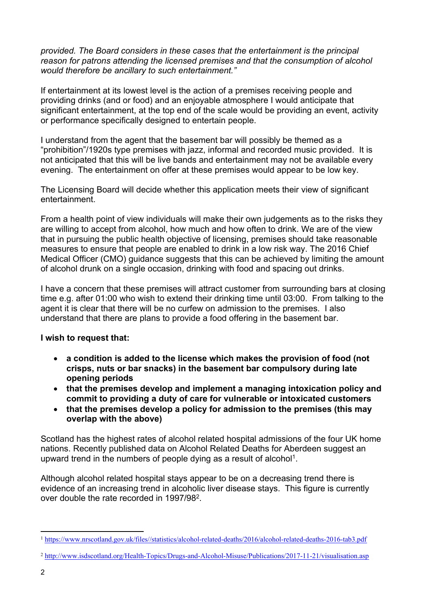*provided. The Board considers in these cases that the entertainment is the principal reason for patrons attending the licensed premises and that the consumption of alcohol would therefore be ancillary to such entertainment."*

If entertainment at its lowest level is the action of a premises receiving people and providing drinks (and or food) and an enjoyable atmosphere I would anticipate that significant entertainment, at the top end of the scale would be providing an event, activity or performance specifically designed to entertain people.

I understand from the agent that the basement bar will possibly be themed as a "prohibition"/1920s type premises with jazz, informal and recorded music provided. It is not anticipated that this will be live bands and entertainment may not be available every evening. The entertainment on offer at these premises would appear to be low key.

The Licensing Board will decide whether this application meets their view of significant entertainment.

From a health point of view individuals will make their own judgements as to the risks they are willing to accept from alcohol, how much and how often to drink. We are of the view that in pursuing the public health objective of licensing, premises should take reasonable measures to ensure that people are enabled to drink in a low risk way. The 2016 Chief Medical Officer (CMO) guidance suggests that this can be achieved by limiting the amount of alcohol drunk on a single occasion, drinking with food and spacing out drinks.

I have a concern that these premises will attract customer from surrounding bars at closing time e.g. after 01:00 who wish to extend their drinking time until 03:00. From talking to the agent it is clear that there will be no curfew on admission to the premises. I also understand that there are plans to provide a food offering in the basement bar.

## **I wish to request that:**

- **a condition is added to the license which makes the provision of food (not crisps, nuts or bar snacks) in the basement bar compulsory during late opening periods**
- **that the premises develop and implement a managing intoxication policy and commit to providing a duty of care for vulnerable or intoxicated customers**
- **that the premises develop a policy for admission to the premises (this may overlap with the above)**

Scotland has the highest rates of alcohol related hospital admissions of the four UK home nations. Recently published data on Alcohol Related Deaths for Aberdeen suggest an upward trend in the numbers of people dying as a result of alcohol<sup>1</sup>.

Although alcohol related hospital stays appear to be on a decreasing trend there is evidence of an increasing trend in alcoholic liver disease stays. This figure is currently over double the rate recorded in 1997/98<sup>2</sup>.

<sup>1</sup> <https://www.nrscotland.gov.uk/files//statistics/alcohol-related-deaths/2016/alcohol-related-deaths-2016-tab3.pdf>

<sup>2</sup> <http://www.isdscotland.org/Health-Topics/Drugs-and-Alcohol-Misuse/Publications/2017-11-21/visualisation.asp>